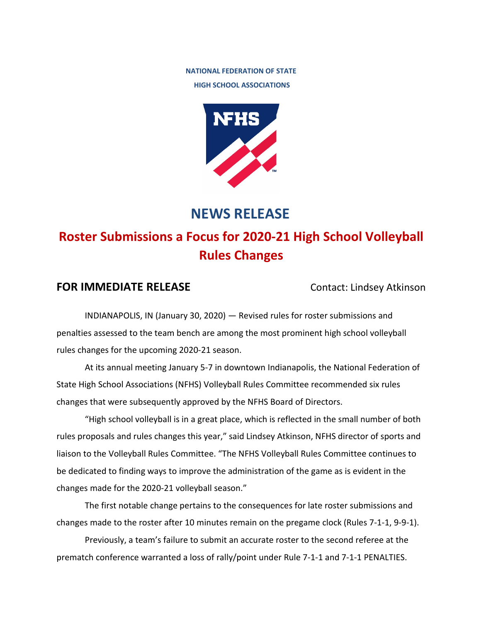## **NATIONAL FEDERATION OF STATE HIGH SCHOOL ASSOCIATIONS**



## **NEWS RELEASE**

# **Roster Submissions a Focus for 2020-21 High School Volleyball Rules Changes**

## **FOR IMMEDIATE RELEASE** Contact: Lindsey Atkinson

INDIANAPOLIS, IN (January 30, 2020) — Revised rules for roster submissions and penalties assessed to the team bench are among the most prominent high school volleyball rules changes for the upcoming 2020-21 season.

At its annual meeting January 5-7 in downtown Indianapolis, the National Federation of State High School Associations (NFHS) Volleyball Rules Committee recommended six rules changes that were subsequently approved by the NFHS Board of Directors.

"High school volleyball is in a great place, which is reflected in the small number of both rules proposals and rules changes this year," said Lindsey Atkinson, NFHS director of sports and liaison to the Volleyball Rules Committee. "The NFHS Volleyball Rules Committee continues to be dedicated to finding ways to improve the administration of the game as is evident in the changes made for the 2020-21 volleyball season."

The first notable change pertains to the consequences for late roster submissions and changes made to the roster after 10 minutes remain on the pregame clock (Rules 7-1-1, 9-9-1).

Previously, a team's failure to submit an accurate roster to the second referee at the prematch conference warranted a loss of rally/point under Rule 7-1-1 and 7-1-1 PENALTIES.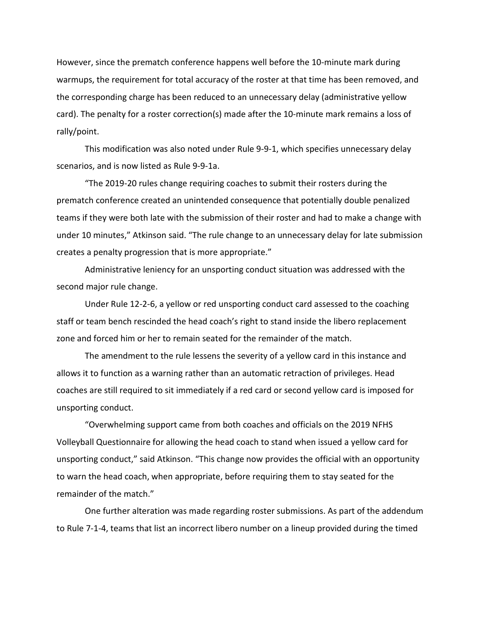However, since the prematch conference happens well before the 10-minute mark during warmups, the requirement for total accuracy of the roster at that time has been removed, and the corresponding charge has been reduced to an unnecessary delay (administrative yellow card). The penalty for a roster correction(s) made after the 10-minute mark remains a loss of rally/point.

This modification was also noted under Rule 9-9-1, which specifies unnecessary delay scenarios, and is now listed as Rule 9-9-1a.

"The 2019-20 rules change requiring coaches to submit their rosters during the prematch conference created an unintended consequence that potentially double penalized teams if they were both late with the submission of their roster and had to make a change with under 10 minutes," Atkinson said. "The rule change to an unnecessary delay for late submission creates a penalty progression that is more appropriate."

Administrative leniency for an unsporting conduct situation was addressed with the second major rule change.

Under Rule 12-2-6, a yellow or red unsporting conduct card assessed to the coaching staff or team bench rescinded the head coach's right to stand inside the libero replacement zone and forced him or her to remain seated for the remainder of the match.

The amendment to the rule lessens the severity of a yellow card in this instance and allows it to function as a warning rather than an automatic retraction of privileges. Head coaches are still required to sit immediately if a red card or second yellow card is imposed for unsporting conduct.

"Overwhelming support came from both coaches and officials on the 2019 NFHS Volleyball Questionnaire for allowing the head coach to stand when issued a yellow card for unsporting conduct," said Atkinson. "This change now provides the official with an opportunity to warn the head coach, when appropriate, before requiring them to stay seated for the remainder of the match."

One further alteration was made regarding roster submissions. As part of the addendum to Rule 7-1-4, teams that list an incorrect libero number on a lineup provided during the timed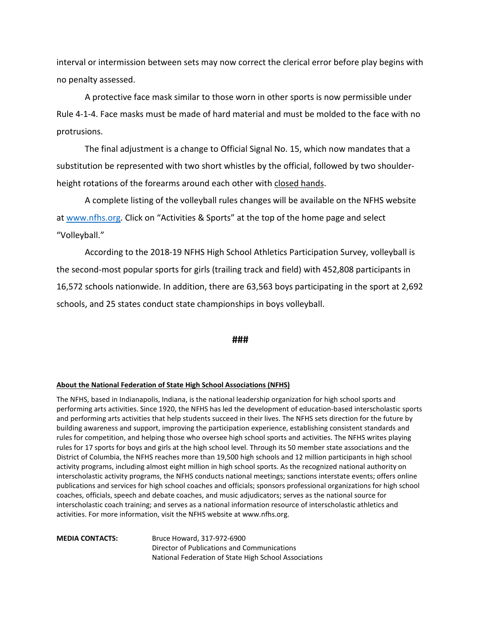interval or intermission between sets may now correct the clerical error before play begins with no penalty assessed.

A protective face mask similar to those worn in other sports is now permissible under Rule 4-1-4. Face masks must be made of hard material and must be molded to the face with no protrusions.

The final adjustment is a change to Official Signal No. 15, which now mandates that a substitution be represented with two short whistles by the official, followed by two shoulderheight rotations of the forearms around each other with closed hands.

A complete listing of the volleyball rules changes will be available on the NFHS website at [www.nfhs.org.](http://www.nfhs.org/) Click on "Activities & Sports" at the top of the home page and select "Volleyball."

According to the 2018-19 NFHS High School Athletics Participation Survey, volleyball is the second-most popular sports for girls (trailing track and field) with 452,808 participants in 16,572 schools nationwide. In addition, there are 63,563 boys participating in the sport at 2,692 schools, and 25 states conduct state championships in boys volleyball.

### **###**

### **About the National Federation of State High School Associations (NFHS)**

The NFHS, based in Indianapolis, Indiana, is the national leadership organization for high school sports and performing arts activities. Since 1920, the NFHS has led the development of education-based interscholastic sports and performing arts activities that help students succeed in their lives. The NFHS sets direction for the future by building awareness and support, improving the participation experience, establishing consistent standards and rules for competition, and helping those who oversee high school sports and activities. The NFHS writes playing rules for 17 sports for boys and girls at the high school level. Through its 50 member state associations and the District of Columbia, the NFHS reaches more than 19,500 high schools and 12 million participants in high school activity programs, including almost eight million in high school sports. As the recognized national authority on interscholastic activity programs, the NFHS conducts national meetings; sanctions interstate events; offers online publications and services for high school coaches and officials; sponsors professional organizations for high school coaches, officials, speech and debate coaches, and music adjudicators; serves as the national source for interscholastic coach training; and serves as a national information resource of interscholastic athletics and activities. For more information, visit the NFHS website at www.nfhs.org.

**MEDIA CONTACTS:** Bruce Howard, 317-972-6900 Director of Publications and Communications National Federation of State High School Associations